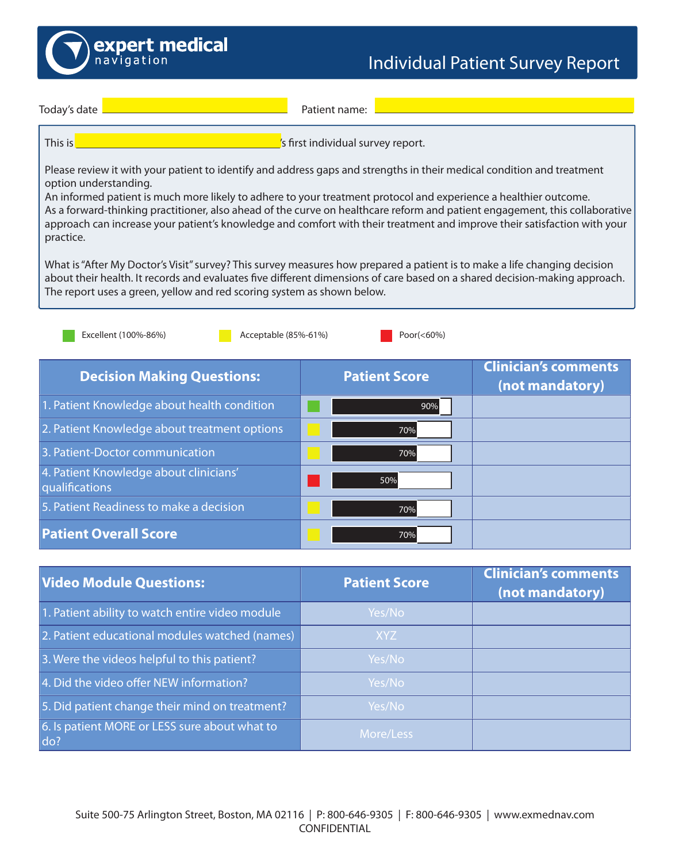

|  | Todav's date |
|--|--------------|

Patient name:

This is **Fig. 2.1. This is 1.1. The individual survey report.** 

Please review it with your patient to identify and address gaps and strengths in their medical condition and treatment option understanding.

An informed patient is much more likely to adhere to your treatment protocol and experience a healthier outcome. As a forward-thinking practitioner, also ahead of the curve on healthcare reform and patient engagement, this collaborative approach can increase your patient's knowledge and comfort with their treatment and improve their satisfaction with your practice.

What is "After My Doctor's Visit" survey? This survey measures how prepared a patient is to make a life changing decision about their health. It records and evaluates five different dimensions of care based on a shared decision-making approach. The report uses a green, yellow and red scoring system as shown below.

| Excellent (100%-86%)<br>Acceptable (85%-61%)             | Poor $(<60\%)$       |                                                |
|----------------------------------------------------------|----------------------|------------------------------------------------|
| <b>Decision Making Questions:</b>                        | <b>Patient Score</b> | <b>Clinician's comments</b><br>(not mandatory) |
| 1. Patient Knowledge about health condition              | 90%                  |                                                |
| 2. Patient Knowledge about treatment options             | 70%                  |                                                |
| 3. Patient-Doctor communication                          | 70%                  |                                                |
| 4. Patient Knowledge about clinicians'<br>qualifications | 50%                  |                                                |
| 5. Patient Readiness to make a decision                  | 70%                  |                                                |
| <b>Patient Overall Score</b>                             | 70%                  |                                                |

| <b>Video Module Questions:</b>                       | <b>Patient Score</b> | <b>Clinician's comments</b><br>(not mandatory) |
|------------------------------------------------------|----------------------|------------------------------------------------|
| 1. Patient ability to watch entire video module      | Yes/No               |                                                |
| 2. Patient educational modules watched (names)       | XYZ                  |                                                |
| 3. Were the videos helpful to this patient?          | Yes/No               |                                                |
| 4. Did the video offer NEW information?              | Yes/No               |                                                |
| 5. Did patient change their mind on treatment?       | Yes/No               |                                                |
| 6. Is patient MORE or LESS sure about what to<br>do? | More/Less            |                                                |